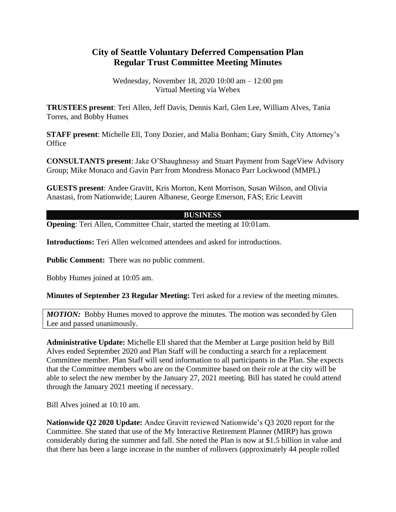## **City of Seattle Voluntary Deferred Compensation Plan Regular Trust Committee Meeting Minutes**

Wednesday, November 18, 2020 10:00 am – 12:00 pm Virtual Meeting via Webex

**TRUSTEES present**: Teri Allen, Jeff Davis, Dennis Karl, Glen Lee, William Alves, Tania Torres, and Bobby Humes

**STAFF present**: Michelle Ell, Tony Dozier, and Malia Bonham; Gary Smith, City Attorney's **Office** 

**CONSULTANTS present**: Jake O'Shaughnessy and Stuart Payment from SageView Advisory Group; Mike Monaco and Gavin Parr from Mondress Monaco Parr Lockwood (MMPL)

**GUESTS present**: Andee Gravitt, Kris Morton, Kent Morrison, Susan Wilson, and Olivia Anastasi, from Nationwide; Lauren Albanese, George Emerson, FAS; Eric Leavitt

## **BUSINESS**

**Opening:** Teri Allen, Committee Chair, started the meeting at 10:01am.

**Introductions:** Teri Allen welcomed attendees and asked for introductions.

**Public Comment:** There was no public comment.

Bobby Humes joined at 10:05 am.

**Minutes of September 23 Regular Meeting:** Teri asked for a review of the meeting minutes.

*MOTION:* Bobby Humes moved to approve the minutes. The motion was seconded by Glen Lee and passed unanimously.

**Administrative Update:** Michelle Ell shared that the Member at Large position held by Bill Alves ended September 2020 and Plan Staff will be conducting a search for a replacement Committee member. Plan Staff will send information to all participants in the Plan. She expects that the Committee members who are on the Committee based on their role at the city will be able to select the new member by the January 27, 2021 meeting. Bill has stated he could attend through the January 2021 meeting if necessary.

Bill Alves joined at 10:10 am.

**Nationwide Q2 2020 Update:** Andee Gravitt reviewed Nationwide's Q3 2020 report for the Committee. She stated that use of the My Interactive Retirement Planner (MIRP) has grown considerably during the summer and fall. She noted the Plan is now at \$1.5 billion in value and that there has been a large increase in the number of rollovers (approximately 44 people rolled